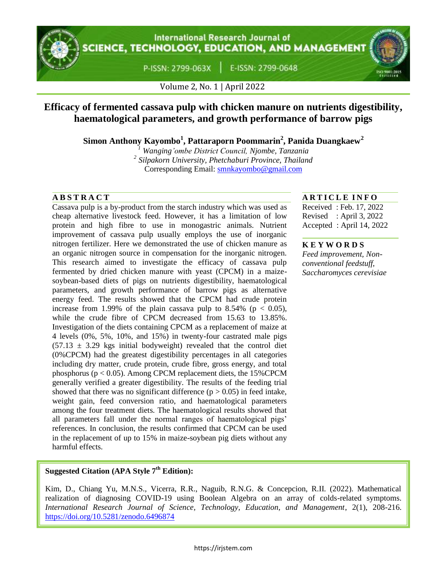**International Research Journal of** CIENCE, TECHNOLOGY, EDUCATION, AND MANAGEMENT

> E-ISSN: 2799-0648 P-ISSN: 2799-063X



Volume 2, No. 1 | April 2022

# **Efficacy of fermented cassava pulp with chicken manure on nutrients digestibility, haematological parameters, and growth performance of barrow pigs**

**Simon Anthony Kayombo<sup>1</sup> , Pattaraporn Poommarin<sup>2</sup> , Panida Duangkaew<sup>2</sup>**

*<sup>1</sup> Wanging'ombe District Council, Njombe, Tanzania 2 Silpakorn University, Phetchaburi Province, Thailand* Corresponding Email: [smnkayombo@gmail.com](mailto:smnkayombo@gmail.com)

Cassava pulp is a by-product from the starch industry which was used as cheap alternative livestock feed. However, it has a limitation of low protein and high fibre to use in monogastric animals. Nutrient improvement of cassava pulp usually employs the use of inorganic nitrogen fertilizer. Here we demonstrated the use of chicken manure as an organic nitrogen source in compensation for the inorganic nitrogen. This research aimed to investigate the efficacy of cassava pulp fermented by dried chicken manure with yeast (CPCM) in a maizesoybean-based diets of pigs on nutrients digestibility, haematological parameters, and growth performance of barrow pigs as alternative energy feed. The results showed that the CPCM had crude protein increase from 1.99% of the plain cassava pulp to 8.54% ( $p < 0.05$ ), while the crude fibre of CPCM decreased from 15.63 to 13.85%. Investigation of the diets containing CPCM as a replacement of maize at 4 levels (0%, 5%, 10%, and 15%) in twenty-four castrated male pigs  $(57.13 \pm 3.29$  kgs initial bodyweight) revealed that the control diet (0%CPCM) had the greatest digestibility percentages in all categories including dry matter, crude protein, crude fibre, gross energy, and total phosphorus ( $p < 0.05$ ). Among CPCM replacement diets, the 15% CPCM generally verified a greater digestibility. The results of the feeding trial showed that there was no significant difference  $(p > 0.05)$  in feed intake, weight gain, feed conversion ratio, and haematological parameters among the four treatment diets. The haematological results showed that all parameters fall under the normal ranges of haematological pigs' references. In conclusion, the results confirmed that CPCM can be used in the replacement of up to 15% in maize-soybean pig diets without any harmful effects.

## **A B S T R A C T A R T I C L E I N F O**

Received : Feb. 17, 2022 Revised : April 3, 2022 Accepted : April 14, 2022

#### **K E Y W O R D S**

*Feed improvement, Nonconventional feedstuff, Saccharomyces cerevisiae*

## **Suggested Citation (APA Style 7th Edition):**

Kim, D., Chiang Yu, M.N.S., Vicerra, R.R., Naguib, R.N.G. & Concepcion, R.II. (2022). Mathematical realization of diagnosing COVID-19 using Boolean Algebra on an array of colds-related symptoms. *International Research Journal of Science, Technology, Education, and Management*, 2(1), 208-216. https://doi.org/10.5281/zenodo.6496874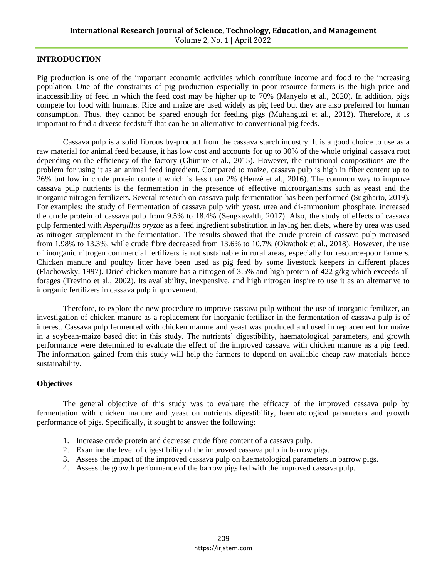#### **INTRODUCTION**

Pig production is one of the important economic activities which contribute income and food to the increasing population. One of the constraints of pig production especially in poor resource farmers is the high price and inaccessibility of feed in which the feed cost may be higher up to 70% (Manyelo et al., 2020). In addition, pigs compete for food with humans. Rice and maize are used widely as pig feed but they are also preferred for human consumption. Thus, they cannot be spared enough for feeding pigs (Muhanguzi et al., 2012). Therefore, it is important to find a diverse feedstuff that can be an alternative to conventional pig feeds.

Cassava pulp is a solid fibrous by-product from the cassava starch industry. It is a good choice to use as a raw material for animal feed because, it has low cost and accounts for up to 30% of the whole original cassava root depending on the efficiency of the factory (Ghimire et al., 2015). However, the nutritional compositions are the problem for using it as an animal feed ingredient. Compared to maize, cassava pulp is high in fiber content up to 26% but low in crude protein content which is less than 2% (Heuzé et al., 2016). The common way to improve cassava pulp nutrients is the fermentation in the presence of effective microorganisms such as yeast and the inorganic nitrogen fertilizers. Several research on cassava pulp fermentation has been performed (Sugiharto, 2019). For examples; the study of Fermentation of cassava pulp with yeast, urea and di-ammonium phosphate, increased the crude protein of cassava pulp from 9.5% to 18.4% (Sengxayalth, 2017). Also, the study of effects of cassava pulp fermented with *Aspergillus oryzae* as a feed ingredient substitution in laying hen diets, where by urea was used as nitrogen supplement in the fermentation. The results showed that the crude protein of cassava pulp increased from 1.98% to 13.3%, while crude fibre decreased from 13.6% to 10.7% (Okrathok et al., 2018). However, the use of inorganic nitrogen commercial fertilizers is not sustainable in rural areas, especially for resource-poor farmers. Chicken manure and poultry litter have been used as pig feed by some livestock keepers in different places (Flachowsky, 1997). Dried chicken manure has a nitrogen of 3.5% and high protein of 422 g/kg which exceeds all forages (Trevino et al., 2002). Its availability, inexpensive, and high nitrogen inspire to use it as an alternative to inorganic fertilizers in cassava pulp improvement.

Therefore, to explore the new procedure to improve cassava pulp without the use of inorganic fertilizer, an investigation of chicken manure as a replacement for inorganic fertilizer in the fermentation of cassava pulp is of interest. Cassava pulp fermented with chicken manure and yeast was produced and used in replacement for maize in a soybean-maize based diet in this study. The nutrients' digestibility, haematological parameters, and growth performance were determined to evaluate the effect of the improved cassava with chicken manure as a pig feed. The information gained from this study will help the farmers to depend on available cheap raw materials hence sustainability.

#### **Objectives**

The general objective of this study was to evaluate the efficacy of the improved cassava pulp by fermentation with chicken manure and yeast on nutrients digestibility, haematological parameters and growth performance of pigs. Specifically, it sought to answer the following:

- 1. Increase crude protein and decrease crude fibre content of a cassava pulp.
- 2. Examine the level of digestibility of the improved cassava pulp in barrow pigs.
- 3. Assess the impact of the improved cassava pulp on haematological parameters in barrow pigs.
- 4. Assess the growth performance of the barrow pigs fed with the improved cassava pulp.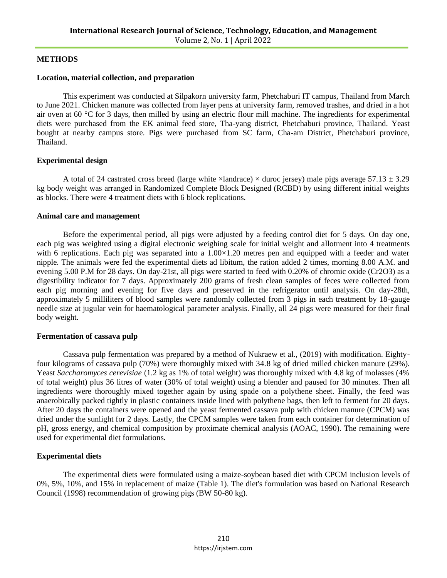#### **METHODS**

#### **Location, material collection, and preparation**

This experiment was conducted at Silpakorn university farm, Phetchaburi IT campus, Thailand from March to June 2021. Chicken manure was collected from layer pens at university farm, removed trashes, and dried in a hot air oven at 60 °C for 3 days, then milled by using an electric flour mill machine. The ingredients for experimental diets were purchased from the EK animal feed store, Tha-yang district, Phetchaburi province, Thailand. Yeast bought at nearby campus store. Pigs were purchased from SC farm, Cha-am District, Phetchaburi province, Thailand.

#### **Experimental design**

A total of 24 castrated cross breed (large white  $\times$ landrace)  $\times$  duroc jersey) male pigs average 57.13  $\pm$  3.29 kg body weight was arranged in Randomized Complete Block Designed (RCBD) by using different initial weights as blocks. There were 4 treatment diets with 6 block replications.

#### **Animal care and management**

Before the experimental period, all pigs were adjusted by a feeding control diet for 5 days. On day one, each pig was weighted using a digital electronic weighing scale for initial weight and allotment into 4 treatments with 6 replications. Each pig was separated into a  $1.00\times1.20$  metres pen and equipped with a feeder and water nipple. The animals were fed the experimental diets ad libitum, the ration added 2 times, morning 8.00 A.M. and evening 5.00 P.M for 28 days. On day-21st, all pigs were started to feed with 0.20% of chromic oxide (Cr2O3) as a digestibility indicator for 7 days. Approximately 200 grams of fresh clean samples of feces were collected from each pig morning and evening for five days and preserved in the refrigerator until analysis. On day-28th, approximately 5 milliliters of blood samples were randomly collected from 3 pigs in each treatment by 18-gauge needle size at jugular vein for haematological parameter analysis. Finally, all 24 pigs were measured for their final body weight.

#### **Fermentation of cassava pulp**

Cassava pulp fermentation was prepared by a method of Nukraew et al., (2019) with modification. Eightyfour kilograms of cassava pulp (70%) were thoroughly mixed with 34.8 kg of dried milled chicken manure (29%). Yeast *Saccharomyces cerevisiae* (1.2 kg as 1% of total weight) was thoroughly mixed with 4.8 kg of molasses (4% of total weight) plus 36 litres of water (30% of total weight) using a blender and paused for 30 minutes. Then all ingredients were thoroughly mixed together again by using spade on a polythene sheet. Finally, the feed was anaerobically packed tightly in plastic containers inside lined with polythene bags, then left to ferment for 20 days. After 20 days the containers were opened and the yeast fermented cassava pulp with chicken manure (CPCM) was dried under the sunlight for 2 days. Lastly, the CPCM samples were taken from each container for determination of pH, gross energy, and chemical composition by proximate chemical analysis (AOAC, 1990). The remaining were used for experimental diet formulations.

#### **Experimental diets**

The experimental diets were formulated using a maize-soybean based diet with CPCM inclusion levels of 0%, 5%, 10%, and 15% in replacement of maize (Table 1). The diet's formulation was based on National Research Council (1998) recommendation of growing pigs (BW 50-80 kg).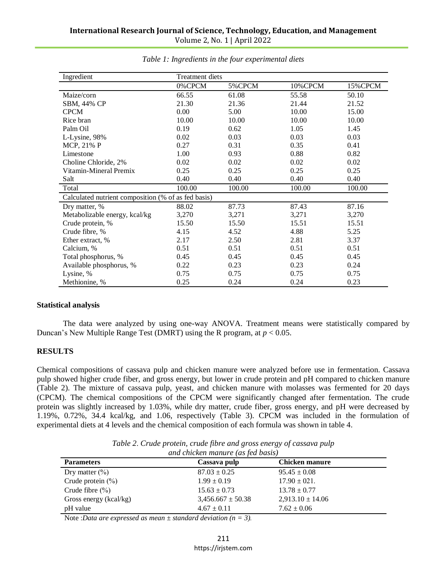| Ingredient                                          | Treatment diets |        |         |          |  |  |
|-----------------------------------------------------|-----------------|--------|---------|----------|--|--|
|                                                     | 0%CPCM          | 5%CPCM | 10%CPCM | 15% CPCM |  |  |
| Maize/corn                                          | 66.55           | 61.08  | 55.58   | 50.10    |  |  |
| SBM, 44% CP                                         | 21.30           | 21.36  | 21.44   | 21.52    |  |  |
| <b>CPCM</b>                                         | 0.00            | 5.00   | 10.00   | 15.00    |  |  |
| Rice bran                                           | 10.00           | 10.00  | 10.00   | 10.00    |  |  |
| Palm Oil                                            | 0.19            | 0.62   | 1.05    | 1.45     |  |  |
| L-Lysine, 98%                                       | 0.02            | 0.03   | 0.03    | 0.03     |  |  |
| MCP, 21% P                                          | 0.27            | 0.31   | 0.35    | 0.41     |  |  |
| Limestone                                           | 1.00            | 0.93   | 0.88    | 0.82     |  |  |
| Choline Chloride, 2%                                | 0.02            | 0.02   | 0.02    | 0.02     |  |  |
| Vitamin-Mineral Premix                              | 0.25            | 0.25   | 0.25    | 0.25     |  |  |
| Salt                                                | 0.40            | 0.40   | 0.40    | 0.40     |  |  |
| Total                                               | 100.00          | 100.00 | 100.00  | 100.00   |  |  |
| Calculated nutrient composition (% of as fed basis) |                 |        |         |          |  |  |
| Dry matter, %                                       | 88.02           | 87.73  | 87.43   | 87.16    |  |  |
| Metabolizable energy, kcal/kg                       | 3,270           | 3,271  | 3,271   | 3,270    |  |  |
| Crude protein, %                                    | 15.50           | 15.50  | 15.51   | 15.51    |  |  |
| Crude fibre, %                                      | 4.15            | 4.52   | 4.88    | 5.25     |  |  |
| Ether extract, %                                    | 2.17            | 2.50   | 2.81    | 3.37     |  |  |
| Calcium, %                                          | 0.51            | 0.51   | 0.51    | 0.51     |  |  |
| Total phosphorus, %                                 | 0.45            | 0.45   | 0.45    | 0.45     |  |  |
| Available phosphorus, %                             | 0.22            | 0.23   | 0.23    | 0.24     |  |  |
| Lysine, %                                           | 0.75            | 0.75   | 0.75    | 0.75     |  |  |
| Methionine, %                                       | 0.25            | 0.24   | 0.24    | 0.23     |  |  |

*Table 1: Ingredients in the four experimental diets*

#### **Statistical analysis**

The data were analyzed by using one-way ANOVA. Treatment means were statistically compared by Duncan's New Multiple Range Test (DMRT) using the R program, at *p* < 0.05.

#### **RESULTS**

Chemical compositions of cassava pulp and chicken manure were analyzed before use in fermentation. Cassava pulp showed higher crude fiber, and gross energy, but lower in crude protein and pH compared to chicken manure (Table 2). The mixture of cassava pulp, yeast, and chicken manure with molasses was fermented for 20 days (CPCM). The chemical compositions of the CPCM were significantly changed after fermentation. The crude protein was slightly increased by 1.03%, while dry matter, crude fiber, gross energy, and pH were decreased by 1.19%, 0.72%, 34.4 kcal/kg, and 1.06, respectively (Table 3). CPCM was included in the formulation of experimental diets at 4 levels and the chemical composition of each formula was shown in table 4.

| ers | Cassava pulp                                                         | <b>Chicken manure</b> |  |
|-----|----------------------------------------------------------------------|-----------------------|--|
|     | and chicken manure (as fed basis)                                    |                       |  |
|     | Table 2. Crude protein, crude fibre and gross energy of cassava pulp |                       |  |

| <b>Parameters</b>      | Cassava pulp          | Chicken manure       |  |
|------------------------|-----------------------|----------------------|--|
| Dry matter $(\%)$      | $87.03 \pm 0.25$      | $95.45 \pm 0.08$     |  |
| Crude protein $(\% )$  | $1.99 \pm 0.19$       | $17.90 \pm 021.$     |  |
| Crude fibre $(\% )$    | $15.63 \pm 0.73$      | $13.78 \pm 0.77$     |  |
| Gross energy (kcal/kg) | $3,456.667 \pm 50.38$ | $2,913.10 \pm 14.06$ |  |
| pH value               | $4.67 \pm 0.11$       | $7.62 \pm 0.06$      |  |

Note :*Data are expressed as mean ± standard deviation (n = 3).*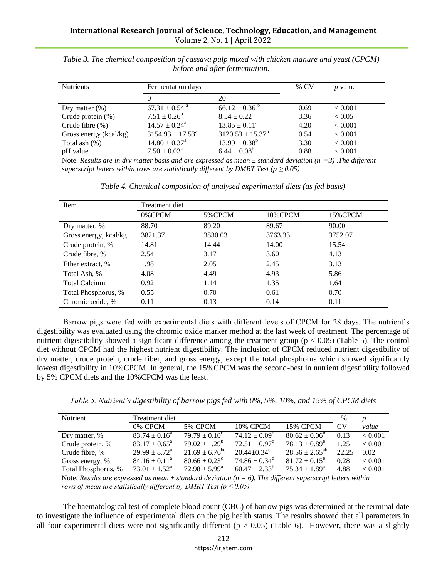| <b>Nutrients</b>       | Fermentation days              |                              | $%$ CV | $p$ value      |
|------------------------|--------------------------------|------------------------------|--------|----------------|
|                        | $\theta$                       | 20                           |        |                |
| Dry matter $(\%)$      | $67.31 \pm 0.54$ <sup>a</sup>  | $66.12 \pm 0.36^{\circ}$     | 0.69   | ${}_{< 0.001}$ |
| Crude protein $(\%)$   | $7.51 \pm 0.26^b$              | $8.54 \pm 0.22$ <sup>a</sup> | 3.36   | < 0.05         |
| Crude fibre $(\% )$    | $14.57 \pm 0.24^{\circ}$       | $13.85 \pm 0.11^a$           | 4.20   | < 0.001        |
| Gross energy (kcal/kg) | $3154.93 \pm 17.53^{\text{a}}$ | $3120.53 \pm 15.37^b$        | 0.54   | < 0.001        |
| Total ash $(\%)$       | $14.80 \pm 0.37^{\text{a}}$    | $13.99 \pm 0.38^b$           | 3.30   | < 0.001        |
| pH value               | $7.50 \pm 0.03^{\circ}$        | $6.44 \pm 0.08^b$            | 0.88   | < 0.001        |

*Table 3. The chemical composition of cassava pulp mixed with chicken manure and yeast (CPCM) before and after fermentation.*

Note :*Results are in dry matter basis and are expressed as mean*  $\pm$  *standard deviation* (n =3). The different *superscript letters within rows are statistically different by DMRT Test (* $p \ge 0.05$ *)* 

| Item                  | Treatment diet |         |         |          |  |
|-----------------------|----------------|---------|---------|----------|--|
|                       | 0%CPCM         | 5%CPCM  | 10%CPCM | 15% CPCM |  |
| Dry matter, %         | 88.70          | 89.20   | 89.67   | 90.00    |  |
| Gross energy, kcal/kg | 3821.37        | 3830.03 | 3763.33 | 3752.07  |  |
| Crude protein, %      | 14.81          | 14.44   | 14.00   | 15.54    |  |
| Crude fibre, %        | 2.54           | 3.17    | 3.60    | 4.13     |  |
| Ether extract, %      | 1.98           | 2.05    | 2.45    | 3.13     |  |
| Total Ash, %          | 4.08           | 4.49    | 4.93    | 5.86     |  |
| <b>Total Calcium</b>  | 0.92           | 1.14    | 1.35    | 1.64     |  |
| Total Phosphorus, %   | 0.55           | 0.70    | 0.61    | 0.70     |  |
| Chromic oxide, %      | 0.11           | 0.13    | 0.14    | 0.11     |  |

Barrow pigs were fed with experimental diets with different levels of CPCM for 28 days. The nutrient's digestibility was evaluated using the chromic oxide marker method at the last week of treatment. The percentage of nutrient digestibility showed a significant difference among the treatment group ( $p < 0.05$ ) (Table 5). The control diet without CPCM had the highest nutrient digestibility. The inclusion of CPCM reduced nutrient digestibility of dry matter, crude protein, crude fiber, and gross energy, except the total phosphorus which showed significantly lowest digestibility in 10%CPCM. In general, the 15%CPCM was the second-best in nutrient digestibility followed by 5% CPCM diets and the 10%CPCM was the least.

*Table 5. Nutrient's digestibility of barrow pigs fed with 0%, 5%, 10%, and 15% of CPCM diets*

| Nutrient            | Treatment diet              |                           |                               |                          | $\%$           |         |
|---------------------|-----------------------------|---------------------------|-------------------------------|--------------------------|----------------|---------|
|                     | 0% CPCM                     | <b>5% CPCM</b>            | 10% CPCM                      | <b>15% CPCM</b>          | CV <sub></sub> | value   |
| Dry matter, %       | $83.74 \pm 0.16^a$          | $79.79 \pm 0.10^{\circ}$  | $74.12 \pm 0.09^{\rm d}$      | $80.62 \pm 0.06^b$       | 0.13           | < 0.001 |
| Crude protein, %    | $83.17 \pm 0.65^{\text{a}}$ | $79.02 \pm 1.29^b$        | $72.51 \pm 0.97^{\circ}$      | $78.13 \pm 0.89^b$       | 1.25           | < 0.001 |
| Crude fibre, %      | $29.99 \pm 8.72^{\text{a}}$ | $21.69 \pm 6.76^{\rm bc}$ | $20.44 \pm 0.34$ <sup>c</sup> | $28.56 \pm 2.65^{ab}$    | 22.25          | 0.02    |
| Gross energy, %     | $84.16 \pm 0.11^{\circ}$    | $80.66 \pm 0.23^{\circ}$  | $74.86 \pm 0.34$ <sup>d</sup> | $81.72 \pm 0.15^{\circ}$ | 0.28           | < 0.001 |
| Total Phosphorus, % | $73.01 \pm 1.52^{\text{a}}$ | $72.98 \pm 5.99^{\circ}$  | $60.47 \pm 2.33^b$            | $75.34 \pm 1.89^{\circ}$ | 4.88           | < 0.001 |

Note: *Results are expressed as mean ± standard deviation (n = 6). The different superscript letters within rows of mean are statistically different by DMRT Test (* $p \le 0.05$ *)* 

The haematological test of complete blood count (CBC) of barrow pigs was determined at the terminal date to investigate the influence of experimental diets on the pig health status. The results showed that all parameters in all four experimental diets were not significantly different ( $p > 0.05$ ) (Table 6). However, there was a slightly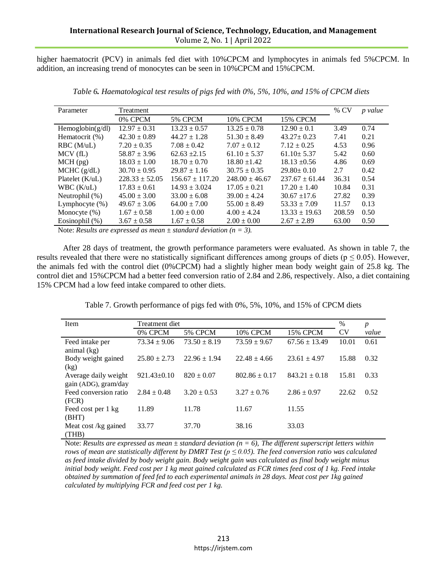higher haematocrit (PCV) in animals fed diet with 10%CPCM and lymphocytes in animals fed 5%CPCM. In addition, an increasing trend of monocytes can be seen in 10%CPCM and 15%CPCM.

| Parameter           | Treatment          |                     |                    |                    | % CV   | p value |
|---------------------|--------------------|---------------------|--------------------|--------------------|--------|---------|
|                     | 0% CPCM            | 5% CPCM             | <b>10% CPCM</b>    | <b>15% CPCM</b>    |        |         |
| Hemoglobin $(g/dl)$ | $12.97 \pm 0.31$   | $13.23 \pm 0.57$    | $13.25 \pm 0.78$   | $12.90 \pm 0.1$    | 3.49   | 0.74    |
| Hematocrit (%)      | $42.30 \pm 0.89$   | $44.27 \pm 1.28$    | $51.30 \pm 8.49$   | $43.27 \pm 0.23$   | 7.41   | 0.21    |
| $RBC$ (M/uL)        | $7.20 \pm 0.35$    | $7.08 \pm 0.42$     | $7.07 \pm 0.12$    | $7.12 \pm 0.25$    | 4.53   | 0.96    |
| MCV(fL)             | $58.87 \pm 3.96$   | $62.63 \pm 2.15$    | $61.10 \pm 5.37$   | $61.10 \pm 5.37$   | 5.42   | 0.60    |
| $MCH$ (pg)          | $18.03 \pm 1.00$   | $18.70 \pm 0.70$    | $18.80 \pm 1.42$   | $18.13 \pm 0.56$   | 4.86   | 0.69    |
| MCHC (g/dL)         | $30.70 \pm 0.95$   | $29.87 \pm 1.16$    | $30.75 \pm 0.35$   | $29.80 \pm 0.10$   | 2.7    | 0.42    |
| Platelet $(K/uL)$   | $228.33 \pm 52.05$ | $156.67 \pm 117.20$ | $248.00 \pm 46.67$ | $237.67 \pm 61.44$ | 36.31  | 0.54    |
| WBC(K/uL)           | $17.83 \pm 0.61$   | $14.93 \pm 3.024$   | $17.05 \pm 0.21$   | $17.20 \pm 1.40$   | 10.84  | 0.31    |
| Neutrophil (%)      | $45.00 \pm 3.00$   | $33.00 \pm 6.08$    | $39.00 \pm 4.24$   | $30.67 \pm 17.6$   | 27.82  | 0.39    |
| Lymphocyte $(\% )$  | $49.67 \pm 3.06$   | $64.00 \pm 7.00$    | $55.00 \pm 8.49$   | $53.33 \pm 7.09$   | 11.57  | 0.13    |
| Monocyte $(\%)$     | $1.67 \pm 0.58$    | $1.00 \pm 0.00$     | $4.00 \pm 4.24$    | $13.33 \pm 19.63$  | 208.59 | 0.50    |
| Eosinophil (%)      | $3.67 \pm 0.58$    | $1.67 \pm 0.58$     | $2.00 \pm 0.00$    | $2.67 \pm 2.89$    | 63.00  | 0.50    |
|                     |                    |                     |                    |                    |        |         |

*Table 6. Haematological test results of pigs fed with 0%, 5%, 10%, and 15% of CPCM diets*

Note: *Results are expressed as mean ± standard deviation (n = 3).*

After 28 days of treatment, the growth performance parameters were evaluated. As shown in table 7, the results revealed that there were no statistically significant differences among groups of diets ( $p \le 0.05$ ). However, the animals fed with the control diet (0%CPCM) had a slightly higher mean body weight gain of 25.8 kg. The control diet and 15%CPCM had a better feed conversion ratio of 2.84 and 2.86, respectively. Also, a diet containing 15% CPCM had a low feed intake compared to other diets.

Table 7. Growth performance of pigs fed with 0%, 5%, 10%, and 15% of CPCM diets

| Item                                         | Treatment diet    |                  |                   |                   | %         | p     |
|----------------------------------------------|-------------------|------------------|-------------------|-------------------|-----------|-------|
|                                              | 0% CPCM           | 5% CPCM          | <b>10% CPCM</b>   | <b>15% CPCM</b>   | <b>CV</b> | value |
| Feed intake per<br>animal $(kg)$             | $73.34 \pm 9.06$  | $73.50 \pm 8.19$ | $73.59 \pm 9.67$  | $67.56 \pm 13.49$ | 10.01     | 0.61  |
| Body weight gained<br>(kg)                   | $25.80 \pm 2.73$  | $22.96 \pm 1.94$ | $22.48 \pm 4.66$  | $23.61 \pm 4.97$  | 15.88     | 0.32  |
| Average daily weight<br>gain (ADG), gram/day | $921.43 \pm 0.10$ | $820 \pm 0.07$   | $802.86 \pm 0.17$ | $843.21 \pm 0.18$ | 15.81     | 0.33  |
| Feed conversion ratio<br>(FCR)               | $2.84 \pm 0.48$   | $3.20 \pm 0.53$  | $3.27 \pm 0.76$   | $2.86 \pm 0.97$   | 22.62     | 0.52  |
| Feed cost per 1 kg<br>(BHT)                  | 11.89             | 11.78            | 11.67             | 11.55             |           |       |
| Meat cost /kg gained<br>(THB)                | 33.77             | 37.70            | 38.16             | 33.03             |           |       |

Note: *Results are expressed as mean ± standard deviation (n = 6), The different superscript letters within rows of mean are statistically different by DMRT Test (* $p \le 0.05$ *). The feed conversion ratio was calculated as feed intake divided by body weight gain. Body weight gain was calculated as final body weight minus initial body weight. Feed cost per 1 kg meat gained calculated as FCR times feed cost of 1 kg. Feed intake obtained by summation of feed fed to each experimental animals in 28 days. Meat cost per 1kg gained calculated by multiplying FCR and feed cost per 1 kg.*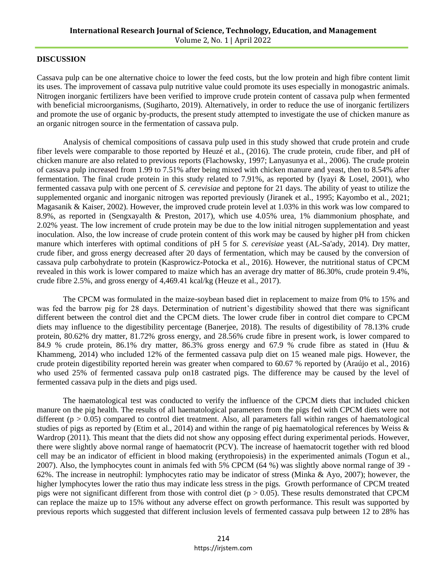#### **DISCUSSION**

Cassava pulp can be one alternative choice to lower the feed costs, but the low protein and high fibre content limit its uses. The improvement of cassava pulp nutritive value could promote its uses especially in monogastric animals. Nitrogen inorganic fertilizers have been verified to improve crude protein content of cassava pulp when fermented with beneficial microorganisms, (Sugiharto, 2019). Alternatively, in order to reduce the use of inorganic fertilizers and promote the use of organic by-products, the present study attempted to investigate the use of chicken manure as an organic nitrogen source in the fermentation of cassava pulp.

Analysis of chemical compositions of cassava pulp used in this study showed that crude protein and crude fiber levels were comparable to those reported by Heuzé et al., (2016). The crude protein, crude fiber, and pH of chicken manure are also related to previous reports (Flachowsky, 1997; Lanyasunya et al., 2006). The crude protein of cassava pulp increased from 1.99 to 7.51% after being mixed with chicken manure and yeast, then to 8.54% after fermentation. The final crude protein in this study related to 7.91%, as reported by (Iyayi & Losel, 2001), who fermented cassava pulp with one percent of *S. cerevisiae* and peptone for 21 days. The ability of yeast to utilize the supplemented organic and inorganic nitrogen was reported previously (Jiranek et al., 1995; Kayombo et al., 2021; Magasanik & Kaiser, 2002). However, the improved crude protein level at 1.03% in this work was low compared to 8.9%, as reported in (Sengxayalth & Preston, 2017), which use 4.05% urea, 1% diammonium phosphate, and 2.02% yeast. The low increment of crude protein may be due to the low initial nitrogen supplementation and yeast inoculation. Also, the low increase of crude protein content of this work may be caused by higher pH from chicken manure which interferes with optimal conditions of pH 5 for *S. cerevisiae* yeast (AL-Sa'ady, 2014). Dry matter, crude fiber, and gross energy decreased after 20 days of fermentation, which may be caused by the conversion of cassava pulp carbohydrate to protein (Kasprowicz-Potocka et al., 2016). However, the nutritional status of CPCM revealed in this work is lower compared to maize which has an average dry matter of 86.30%, crude protein 9.4%, crude fibre 2.5%, and gross energy of 4,469.41 kcal/kg (Heuze et al., 2017).

The CPCM was formulated in the maize-soybean based diet in replacement to maize from 0% to 15% and was fed the barrow pig for 28 days. Determination of nutrient's digestibility showed that there was significant different between the control diet and the CPCM diets. The lower crude fiber in control diet compare to CPCM diets may influence to the digestibility percentage (Banerjee, 2018). The results of digestibility of 78.13% crude protein, 80.62% dry matter, 81.72% gross energy, and 28.56% crude fibre in present work, is lower compared to 84.9 % crude protein, 86.1% dry matter, 86.3% gross energy and 67.9 % crude fibre as stated in (Huu & Khammeng, 2014) who included 12% of the fermented cassava pulp diet on 15 weaned male pigs. However, the crude protein digestibility reported herein was greater when compared to 60.67 % reported by (Araújo et al., 2016) who used 25% of fermented cassava pulp on18 castrated pigs. The difference may be caused by the level of fermented cassava pulp in the diets and pigs used.

The haematological test was conducted to verify the influence of the CPCM diets that included chicken manure on the pig health. The results of all haematological parameters from the pigs fed with CPCM diets were not different ( $p > 0.05$ ) compared to control diet treatment. Also, all parameters fall within ranges of haematological studies of pigs as reported by (Etim et al., 2014) and within the range of pig haematological references by Weiss & Wardrop (2011). This meant that the diets did not show any opposing effect during experimental periods. However, there were slightly above normal range of haematocrit (PCV). The increase of haematocrit together with red blood cell may be an indicator of efficient in blood making (erythropoiesis) in the experimented animals (Togun et al., 2007). Also, the lymphocytes count in animals fed with 5% CPCM (64 %) was slightly above normal range of 39 - 62%. The increase in neutrophil: lymphocytes ratio may be indicator of stress (Minka & Ayo, 2007); however, the higher lymphocytes lower the ratio thus may indicate less stress in the pigs. Growth performance of CPCM treated pigs were not significant different from those with control diet ( $p > 0.05$ ). These results demonstrated that CPCM can replace the maize up to 15% without any adverse effect on growth performance. This result was supported by previous reports which suggested that different inclusion levels of fermented cassava pulp between 12 to 28% has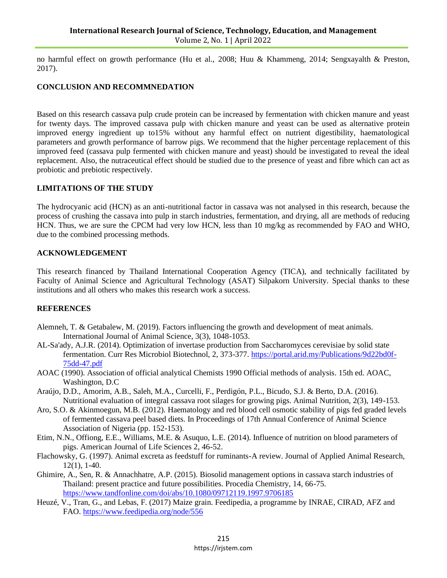no harmful effect on growth performance (Hu et al., 2008; Huu & Khammeng, 2014; Sengxayalth & Preston, 2017).

### **CONCLUSION AND RECOMMNEDATION**

Based on this research cassava pulp crude protein can be increased by fermentation with chicken manure and yeast for twenty days. The improved cassava pulp with chicken manure and yeast can be used as alternative protein improved energy ingredient up to15% without any harmful effect on nutrient digestibility, haematological parameters and growth performance of barrow pigs. We recommend that the higher percentage replacement of this improved feed (cassava pulp fermented with chicken manure and yeast) should be investigated to reveal the ideal replacement. Also, the nutraceutical effect should be studied due to the presence of yeast and fibre which can act as probiotic and prebiotic respectively.

#### **LIMITATIONS OF THE STUDY**

The hydrocyanic acid (HCN) as an anti-nutritional factor in cassava was not analysed in this research, because the process of crushing the cassava into pulp in starch industries, fermentation, and drying, all are methods of reducing HCN. Thus, we are sure the CPCM had very low HCN, less than 10 mg/kg as recommended by FAO and WHO, due to the combined processing methods.

#### **ACKNOWLEDGEMENT**

This research financed by Thailand International Cooperation Agency (TICA), and technically facilitated by Faculty of Animal Science and Agricultural Technology (ASAT) Silpakorn University. Special thanks to these institutions and all others who makes this research work a success.

#### **REFERENCES**

- Alemneh, T. & Getabalew, M. (2019). Factors influencing the growth and development of meat animals. International Journal of Animal Science, 3(3), 1048-1053.
- AL-Sa'ady, A.J.R. (2014). Optimization of invertase production from Saccharomyces cerevisiae by solid state fermentation. Curr Res Microbiol Biotechnol, 2, 373-377. [https://portal.arid.my/Publications/9d22bd0f-](https://portal.arid.my/Publications/9d22bd0f-75dd-47.pdf)[75dd-47.pdf](https://portal.arid.my/Publications/9d22bd0f-75dd-47.pdf)
- AOAC (1990). Association of official analytical Chemists 1990 Official methods of analysis. 15th ed. AOAC, Washington, D.C
- Araújo, D.D., Amorim, A.B., Saleh, M.A., Curcelli, F., Perdigón, P.L., Bicudo, S.J. & Berto, D.A. (2016). Nutritional evaluation of integral cassava root silages for growing pigs. Animal Nutrition, 2(3), 149-153.
- Aro, S.O. & Akinmoegun, M.B. (2012). Haematology and red blood cell osmotic stability of pigs fed graded levels of fermented cassava peel based diets. In Proceedings of 17th Annual Conference of Animal Science Association of Nigeria (pp. 152-153).
- Etim, N.N., Offiong, E.E., Williams, M.E. & Asuquo, L.E. (2014). Influence of nutrition on blood parameters of pigs. American Journal of Life Sciences 2, 46-52.
- Flachowsky, G. (1997). Animal excreta as feedstuff for ruminants-A review. Journal of Applied Animal Research, 12(1), 1-40.
- Ghimire, A., Sen, R. & Annachhatre, A.P. (2015). Biosolid management options in cassava starch industries of Thailand: present practice and future possibilities. Procedia Chemistry, 14, 66-75. <https://www.tandfonline.com/doi/abs/10.1080/09712119.1997.9706185>
- Heuzé, V., Tran, G., and Lebas, F. (2017) Maize grain. Feedipedia, a programme by INRAE, CIRAD, AFZ and FAO.<https://www.feedipedia.org/node/556>